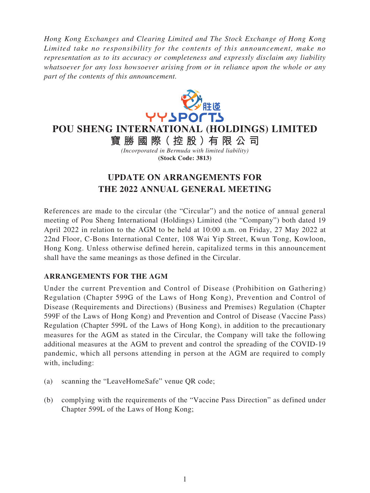*Hong Kong Exchanges and Clearing Limited and The Stock Exchange of Hong Kong Limited take no responsibility for the contents of this announcement, make no representation as to its accuracy or completeness and expressly disclaim any liability whatsoever for any loss howsoever arising from or in reliance upon the whole or any part of the contents of this announcement.*



**POU SHENG INTERNATIONAL (HOLDINGS) LIMITED**

**寶勝國際( 控 股 )有 限公司** *(Incorporated in Bermuda with limited liability)* **(Stock Code: 3813)**

## **UPDATE ON ARRANGEMENTS FOR THE 2022 ANNUAL GENERAL MEETING**

References are made to the circular (the "Circular") and the notice of annual general meeting of Pou Sheng International (Holdings) Limited (the "Company") both dated 19 April 2022 in relation to the AGM to be held at 10:00 a.m. on Friday, 27 May 2022 at 22nd Floor, C-Bons International Center, 108 Wai Yip Street, Kwun Tong, Kowloon, Hong Kong. Unless otherwise defined herein, capitalized terms in this announcement shall have the same meanings as those defined in the Circular.

## **ARRANGEMENTS FOR THE AGM**

Under the current Prevention and Control of Disease (Prohibition on Gathering) Regulation (Chapter 599G of the Laws of Hong Kong), Prevention and Control of Disease (Requirements and Directions) (Business and Premises) Regulation (Chapter 599F of the Laws of Hong Kong) and Prevention and Control of Disease (Vaccine Pass) Regulation (Chapter 599L of the Laws of Hong Kong), in addition to the precautionary measures for the AGM as stated in the Circular, the Company will take the following additional measures at the AGM to prevent and control the spreading of the COVID-19 pandemic, which all persons attending in person at the AGM are required to comply with, including:

- (a) scanning the "LeaveHomeSafe" venue QR code;
- (b) complying with the requirements of the "Vaccine Pass Direction" as defined under Chapter 599L of the Laws of Hong Kong;